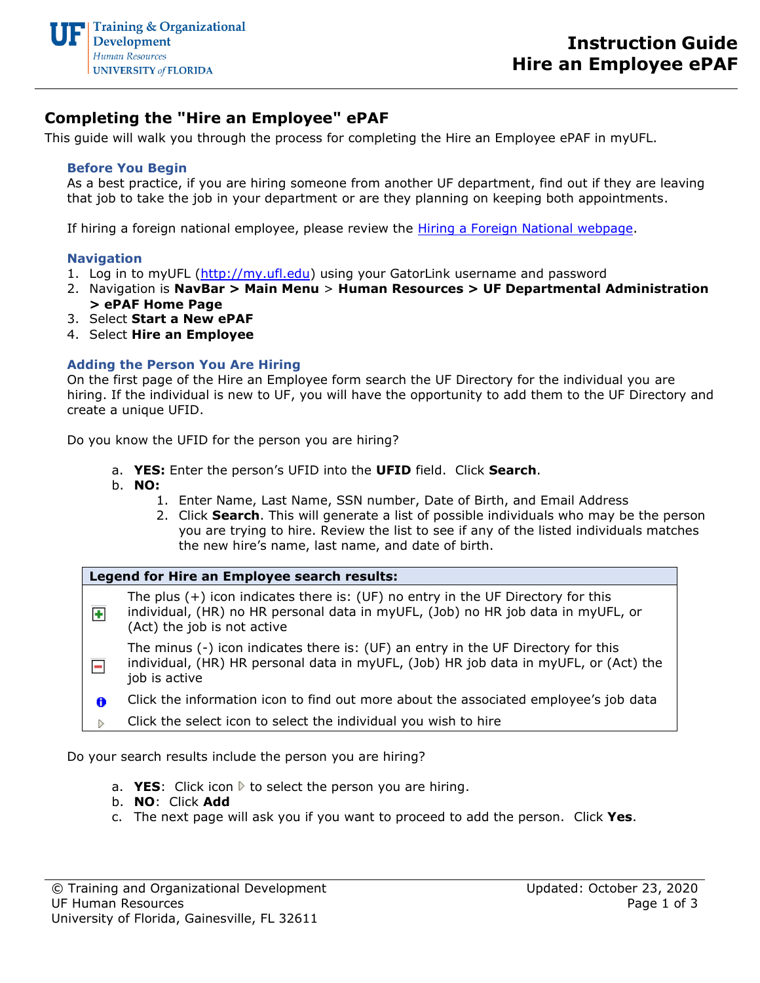

## **Completing the "Hire an Employee" ePAF**

This guide will walk you through the process for completing the Hire an Employee ePAF in myUFL.

## **Before You Begin**

As a best practice, if you are hiring someone from another UF department, find out if they are leaving that job to take the job in your department or are they planning on keeping both appointments.

If hiring a foreign national employee, please review the *Hiring a Foreign National webpage*.

#### **Navigation**

- 1. Log in to myUFL [\(http://my.ufl.edu\)](http://my.ufl.edu/) using your GatorLink username and password
- 2. Navigation is **NavBar > Main Menu** > **Human Resources > UF Departmental Administration > ePAF Home Page**
- 3. Select **Start a New ePAF**
- 4. Select **Hire an Employee**

## **Adding the Person You Are Hiring**

On the first page of the Hire an Employee form search the UF Directory for the individual you are hiring. If the individual is new to UF, you will have the opportunity to add them to the UF Directory and create a unique UFID.

Do you know the UFID for the person you are hiring?

- a. **YES:** Enter the person's UFID into the **UFID** field. Click **Search**.
- b. **NO:**
	- 1. Enter Name, Last Name, SSN number, Date of Birth, and Email Address
	- 2. Click **Search**. This will generate a list of possible individuals who may be the person you are trying to hire. Review the list to see if any of the listed individuals matches the new hire's name, last name, and date of birth.

#### **Legend for Hire an Employee search results:**

The plus (+) icon indicates there is: (UF) no entry in the UF Directory for this individual, (HR) no HR personal data in myUFL, (Job) no HR job data in myUFL, or ÷ (Act) the job is not active

The minus (-) icon indicates there is: (UF) an entry in the UF Directory for this individual, (HR) HR personal data in myUFL, (Job) HR job data in myUFL, or (Act) the  $\equiv$ job is active

Click the information icon to find out more about the associated employee's job data 0

Click the select icon to select the individual you wish to hireÞ

Do your search results include the person you are hiring?

- a. **YES**: Click icon  $\triangleright$  to select the person you are hiring.
- b. **NO**: Click **Add**
- c. The next page will ask you if you want to proceed to add the person. Click **Yes**.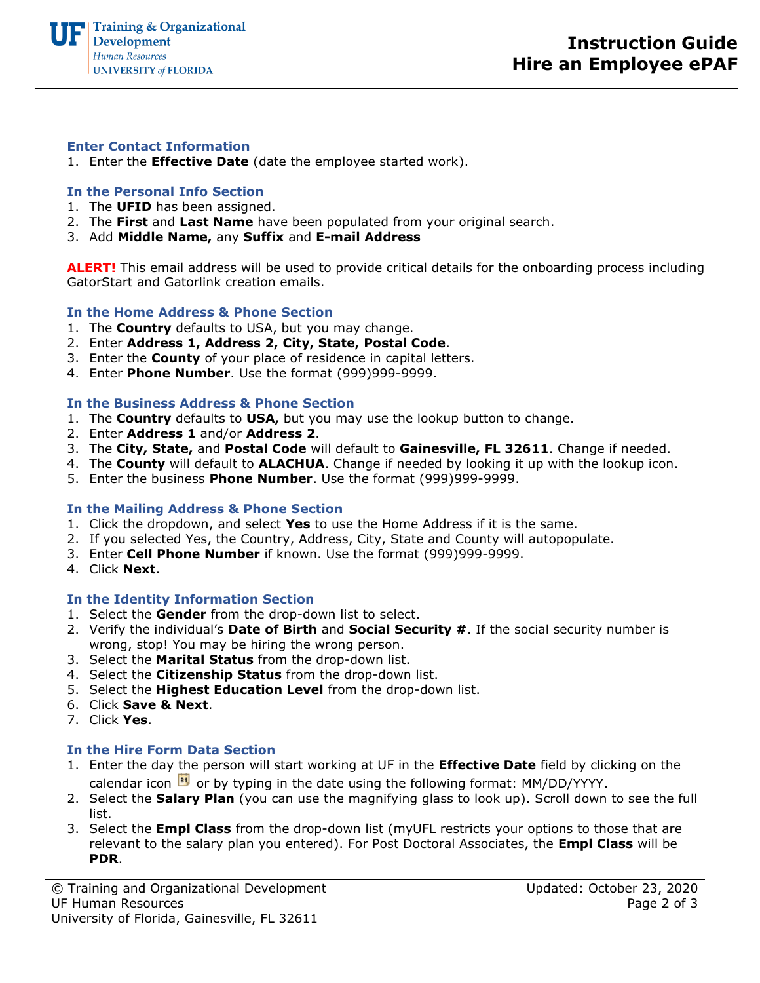#### **Enter Contact Information**

1. Enter the **Effective Date** (date the employee started work).

## **In the Personal Info Section**

- 1. The **UFID** has been assigned.
- 2. The **First** and **Last Name** have been populated from your original search.
- 3. Add **Middle Name,** any **Suffix** and **E-mail Address**

**ALERT!** This email address will be used to provide critical details for the onboarding process including GatorStart and Gatorlink creation emails.

#### **In the Home Address & Phone Section**

- 1. The **Country** defaults to USA, but you may change.
- 2. Enter **Address 1, Address 2, City, State, Postal Code**.
- 3. Enter the **County** of your place of residence in capital letters.
- 4. Enter **Phone Number**. Use the format (999)999-9999.

#### **In the Business Address & Phone Section**

- 1. The **Country** defaults to **USA,** but you may use the lookup button to change.
- 2. Enter **Address 1** and/or **Address 2**.
- 3. The **City, State,** and **Postal Code** will default to **Gainesville, FL 32611**. Change if needed.
- 4. The **County** will default to **ALACHUA**. Change if needed by looking it up with the lookup icon.
- 5. Enter the business **Phone Number**. Use the format (999)999-9999.

#### **In the Mailing Address & Phone Section**

- 1. Click the dropdown, and select **Yes** to use the Home Address if it is the same.
- 2. If you selected Yes, the Country, Address, City, State and County will autopopulate.
- 3. Enter **Cell Phone Number** if known. Use the format (999)999-9999.
- 4. Click **Next**.

#### **In the Identity Information Section**

- 1. Select the **Gender** from the drop-down list to select.
- 2. Verify the individual's **Date of Birth** and **Social Security #**. If the social security number is wrong, stop! You may be hiring the wrong person.
- 3. Select the **Marital Status** from the drop-down list.
- 4. Select the **Citizenship Status** from the drop-down list.
- 5. Select the **Highest Education Level** from the drop-down list.
- 6. Click **Save & Next**.
- 7. Click **Yes**.

#### **In the Hire Form Data Section**

- 1. Enter the day the person will start working at UF in the **Effective Date** field by clicking on the calendar icon  $\overline{\mathbb{E}^{\mathbb{I}}}$  or by typing in the date using the following format: MM/DD/YYYY.
- 2. Select the **Salary Plan** (you can use the magnifying glass to look up). Scroll down to see the full list.
- 3. Select the **Empl Class** from the drop-down list (myUFL restricts your options to those that are relevant to the salary plan you entered). For Post Doctoral Associates, the **Empl Class** will be **PDR**.

© Training and Organizational Development UF Human Resources University of Florida, Gainesville, FL 32611